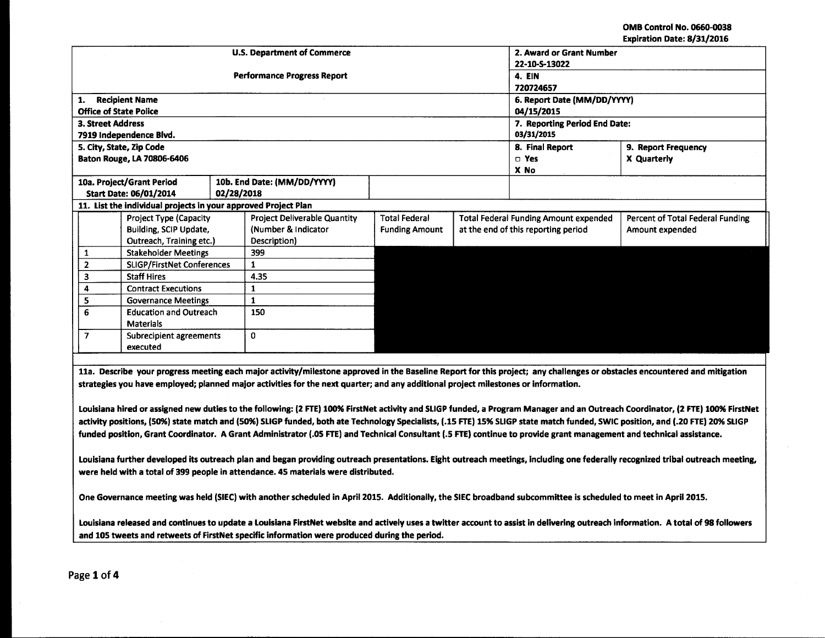OMB Control No. 0660-0038 Expiration Date: 8/31/2016

|                                           |                                   |                                                                |                     | <b>U.S. Department of Commerce</b>  | 2. Award or Grant Number            |                               |                                              |                                  |  |
|-------------------------------------------|-----------------------------------|----------------------------------------------------------------|---------------------|-------------------------------------|-------------------------------------|-------------------------------|----------------------------------------------|----------------------------------|--|
|                                           |                                   |                                                                |                     |                                     | 22-10-S-13022                       |                               |                                              |                                  |  |
|                                           |                                   |                                                                |                     | <b>Performance Progress Report</b>  | 4. EIN                              |                               |                                              |                                  |  |
|                                           |                                   |                                                                |                     |                                     | 720724657                           |                               |                                              |                                  |  |
| 1.                                        |                                   | <b>Recipient Name</b>                                          |                     |                                     | 6. Report Date (MM/DD/YYYY)         |                               |                                              |                                  |  |
|                                           |                                   | <b>Office of State Police</b>                                  |                     |                                     | 04/15/2015                          |                               |                                              |                                  |  |
|                                           | <b>3. Street Address</b>          |                                                                |                     |                                     |                                     | 7. Reporting Period End Date: |                                              |                                  |  |
|                                           |                                   | 7919 Independence Blvd.                                        |                     |                                     |                                     | 03/31/2015                    |                                              |                                  |  |
|                                           |                                   | 5. City, State, Zip Code                                       |                     |                                     |                                     |                               | 8. Final Report                              | 9. Report Frequency              |  |
|                                           |                                   | Baton Rouge, LA 70806-6406                                     |                     |                                     |                                     |                               | $\square$ Yes                                | X Quarterly                      |  |
|                                           |                                   |                                                                |                     |                                     |                                     |                               | X No                                         |                                  |  |
|                                           |                                   | 10a. Project/Grant Period                                      |                     | 10b. End Date: (MM/DD/YYYY)         |                                     |                               |                                              |                                  |  |
|                                           |                                   | Start Date: 06/01/2014                                         | 02/28/2018          |                                     |                                     |                               |                                              |                                  |  |
|                                           |                                   | 11. List the individual projects in your approved Project Plan |                     |                                     |                                     |                               |                                              |                                  |  |
| Project Type (Capacity                    |                                   |                                                                |                     | <b>Project Deliverable Quantity</b> | <b>Total Federal</b>                |                               | <b>Total Federal Funding Amount expended</b> | Percent of Total Federal Funding |  |
|                                           | Building, SCIP Update,            |                                                                | (Number & Indicator | <b>Funding Amount</b>               | at the end of this reporting period |                               | Amount expended                              |                                  |  |
|                                           | Outreach, Training etc.)          |                                                                | Description)        |                                     |                                     |                               |                                              |                                  |  |
| 1                                         | <b>Stakeholder Meetings</b>       |                                                                |                     | 399                                 |                                     |                               |                                              |                                  |  |
| $\overline{2}$                            | <b>SLIGP/FirstNet Conferences</b> |                                                                | 1                   |                                     |                                     |                               |                                              |                                  |  |
| 3                                         | <b>Staff Hires</b>                |                                                                | 4.35                |                                     |                                     |                               |                                              |                                  |  |
| 4                                         | <b>Contract Executions</b>        |                                                                |                     |                                     |                                     |                               |                                              |                                  |  |
| 5                                         | <b>Governance Meetings</b>        |                                                                | 1                   |                                     |                                     |                               |                                              |                                  |  |
| 6<br><b>Education and Outreach</b>        |                                   | 150                                                            |                     |                                     |                                     |                               |                                              |                                  |  |
| <b>Materials</b>                          |                                   |                                                                |                     |                                     |                                     |                               |                                              |                                  |  |
| $\overline{7}$<br>Subrecipient agreements |                                   | 0                                                              |                     |                                     |                                     |                               |                                              |                                  |  |
| executed                                  |                                   |                                                                |                     |                                     |                                     |                               |                                              |                                  |  |

lla. Describe your progress meeting each major activity/milestone approved in the Baseline Report for this project; any challenges or obstacles encountered and mitigation strategies you have employed; planned major activities for the next quarter; and any additional project milestones or information.

Louisiana hired or assigned new duties to the following: (2 FTE) 100% FirstNet activity and SLIGP funded, a Program Manager and an Outreach Coordinator, (2 FTE) 100% FirstNet activity positions, (SO%) state match and (SO%) SLIGP funded, both ate Technology Specialists, (.1S FTE) 1S% SLIGP state match funded, SWIC position, and (.20 FTE) 20% SLIGP funded position, Grant Coordinator. A Grant Administrator (.OS FTE) and Technical Consultant (.S FTE) continue to provide grant management and technical assistance.

Louisiana further developed its outreach plan and began providing outreach presentations. Eight outreach meetings, Including one federally recognized tribal outreach meeting, were held with a total of 399 people in attendance. 4S materials were distributed.

One Governance meeting was held (SIEC) with another scheduled in April 201S. Additionally, the SIEC broadband subcommittee is scheduled to meet in April 201S.

Louisiana released and continues to update a Louisiana FirstNet website and actively uses a twitter account to assist in delivering outreach information. A total of 98 followers and 10S tweets and retweets of FirstNet specific information were produced during the period.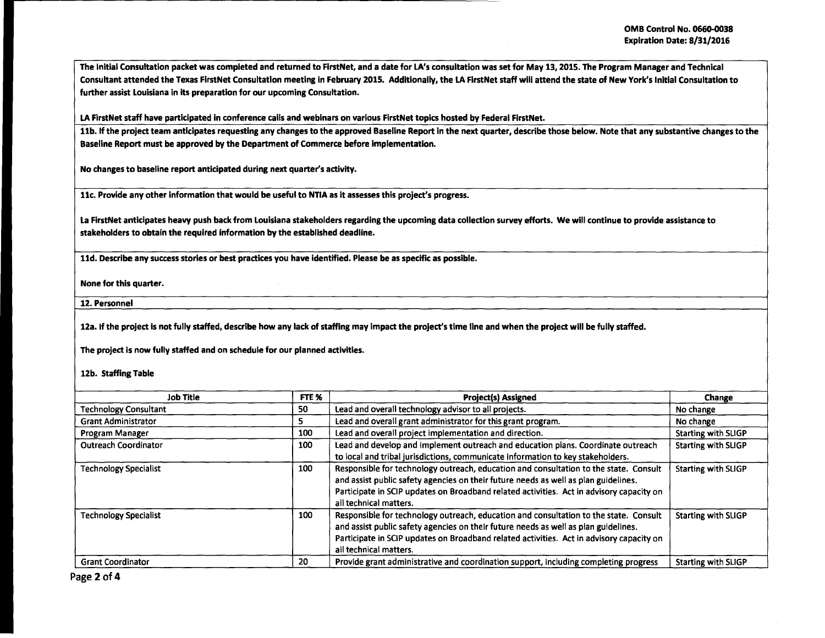The Initial Consultation packet was completed and returned to FirstNet, and a date for LA's consultation was set for May 13, 2015. The Program Manager and Technical Consultant attended the Texas FirstNet Consultation meeting in February 2015. Additionally, the LA FirstNet staff will attend the state of New York's Initial Consultation to further assist Louisiana in its preparation for our upcoming Consultation.

LA FirstNet staff have participated in conference calls and webinars on various FirstNet topics hosted by Federal FirstNet.

11b. If the project team anticipates requesting any changes to the approved Baseline Report in the next quarter, describe those below. Note that any substantive changes to the Baseline Report must be approved by the Department of Commerce before implementation.

No changes to baseline report anticipated during next quarter's activity.

llc. Provide any other information that would be useful to NTIA as it assesses this project's progress.

La FirstNet anticipates heavy push back from Louisiana stakeholders regarding the upcoming data collection survey efforts. We will continue to provide assistance to stakeholders to obtain the required information by the established deadline.

11d. Describe any success stories or best practices you have identified. Please be as specific as possible.

None for this quarter.

12. Personnel

12a. If the project is not fully staffed, describe how any lack of staffing may impact the project's time line and when the project will be fully staffed.

The project is now fully staffed and on schedule for our planned activities.

12b. Staffing Table

| Job Title                    | FTE % | <b>Project(s) Assigned</b>                                                                                                                                                                                                                                                                         | Change                     |
|------------------------------|-------|----------------------------------------------------------------------------------------------------------------------------------------------------------------------------------------------------------------------------------------------------------------------------------------------------|----------------------------|
| <b>Technology Consultant</b> |       | Lead and overall technology advisor to all projects.                                                                                                                                                                                                                                               | No change                  |
| <b>Grant Administrator</b>   | 5     | Lead and overall grant administrator for this grant program.                                                                                                                                                                                                                                       | No change                  |
| Program Manager              | 100   | Lead and overall project implementation and direction.                                                                                                                                                                                                                                             | <b>Starting with SLIGP</b> |
| <b>Outreach Coordinator</b>  | 100   | Lead and develop and implement outreach and education plans. Coordinate outreach<br>to local and tribal jurisdictions, communicate information to key stakeholders.                                                                                                                                | <b>Starting with SLIGP</b> |
| <b>Technology Specialist</b> | 100   | Responsible for technology outreach, education and consultation to the state. Consult<br>and assist public safety agencies on their future needs as well as plan guidelines.<br>Participate in SCIP updates on Broadband related activities. Act in advisory capacity on<br>all technical matters. | <b>Starting with SLIGP</b> |
| <b>Technology Specialist</b> | 100   | Responsible for technology outreach, education and consultation to the state. Consult<br>and assist public safety agencies on their future needs as well as plan guidelines.<br>Participate in SCIP updates on Broadband related activities. Act in advisory capacity on<br>all technical matters. | <b>Starting with SLIGP</b> |
| <b>Grant Coordinator</b>     | 20    | Provide grant administrative and coordination support, including completing progress                                                                                                                                                                                                               | <b>Starting with SLIGP</b> |

Page 2 of 4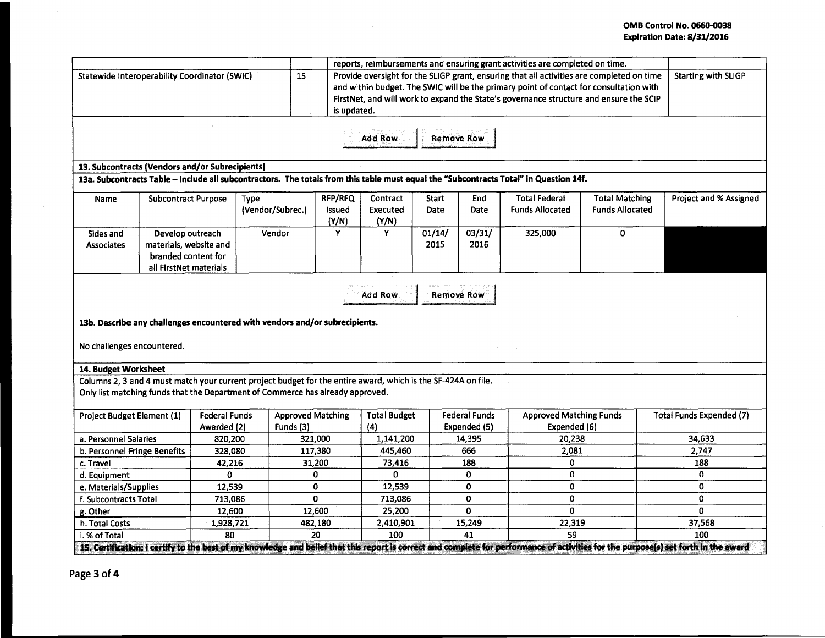## OMB Control No. 0660-0038 Expiration Date: 8/31/2016

|                                                                                                                                                                                                 |                                                                                             |                                     |                          |                                       |                                                                                                                                                                                                                                                                                                                            |                   |                                      | reports, reimbursements and ensuring grant activities are completed on time.                                                          |                                                 |                                                                                                                                                                                      |
|-------------------------------------------------------------------------------------------------------------------------------------------------------------------------------------------------|---------------------------------------------------------------------------------------------|-------------------------------------|--------------------------|---------------------------------------|----------------------------------------------------------------------------------------------------------------------------------------------------------------------------------------------------------------------------------------------------------------------------------------------------------------------------|-------------------|--------------------------------------|---------------------------------------------------------------------------------------------------------------------------------------|-------------------------------------------------|--------------------------------------------------------------------------------------------------------------------------------------------------------------------------------------|
| Statewide Interoperability Coordinator (SWIC)                                                                                                                                                   |                                                                                             |                                     |                          | 15                                    | Provide oversight for the SLIGP grant, ensuring that all activities are completed on time<br><b>Starting with SLIGP</b><br>and within budget. The SWIC will be the primary point of contact for consultation with<br>FirstNet, and will work to expand the State's governance structure and ensure the SCIP<br>is updated. |                   |                                      |                                                                                                                                       |                                                 |                                                                                                                                                                                      |
|                                                                                                                                                                                                 |                                                                                             |                                     |                          |                                       | <b>Add Row</b>                                                                                                                                                                                                                                                                                                             | <b>Remove Row</b> |                                      |                                                                                                                                       |                                                 |                                                                                                                                                                                      |
|                                                                                                                                                                                                 | 13. Subcontracts (Vendors and/or Subrecipients)                                             |                                     |                          |                                       |                                                                                                                                                                                                                                                                                                                            |                   |                                      |                                                                                                                                       |                                                 |                                                                                                                                                                                      |
|                                                                                                                                                                                                 |                                                                                             |                                     |                          |                                       |                                                                                                                                                                                                                                                                                                                            |                   |                                      | 13a. Subcontracts Table - Include all subcontractors. The totals from this table must equal the "Subcontracts Total" in Question 14f. |                                                 |                                                                                                                                                                                      |
| <b>Subcontract Purpose</b><br><b>Name</b>                                                                                                                                                       |                                                                                             |                                     | Type<br>(Vendor/Subrec.) | <b>RFP/RFQ</b><br>Issued<br>(Y/N)     | Contract<br>Executed<br>(Y/N)                                                                                                                                                                                                                                                                                              | Start<br>Date     | End<br>Date                          | <b>Total Federal</b><br><b>Funds Allocated</b>                                                                                        | <b>Total Matching</b><br><b>Funds Allocated</b> | Project and % Assigned                                                                                                                                                               |
| Sides and<br><b>Associates</b>                                                                                                                                                                  | Develop outreach<br>materials, website and<br>branded content for<br>all FirstNet materials |                                     | Vendor                   | Y                                     | Y                                                                                                                                                                                                                                                                                                                          | 01/14/<br>2015    | 03/31/<br>2016                       | 325,000                                                                                                                               | 0                                               |                                                                                                                                                                                      |
| <b>Add Row</b><br><b>Remove Row</b><br>13b. Describe any challenges encountered with vendors and/or subrecipients.<br>No challenges encountered.                                                |                                                                                             |                                     |                          |                                       |                                                                                                                                                                                                                                                                                                                            |                   |                                      |                                                                                                                                       |                                                 |                                                                                                                                                                                      |
| 14. Budget Worksheet                                                                                                                                                                            |                                                                                             |                                     |                          |                                       |                                                                                                                                                                                                                                                                                                                            |                   |                                      |                                                                                                                                       |                                                 |                                                                                                                                                                                      |
| Columns 2, 3 and 4 must match your current project budget for the entire award, which is the SF-424A on file.<br>Only list matching funds that the Department of Commerce has already approved. |                                                                                             |                                     |                          |                                       |                                                                                                                                                                                                                                                                                                                            |                   |                                      |                                                                                                                                       |                                                 |                                                                                                                                                                                      |
| Project Budget Element (1)                                                                                                                                                                      |                                                                                             | <b>Federal Funds</b><br>Awarded (2) |                          | <b>Approved Matching</b><br>Funds (3) | <b>Total Budget</b><br>(4)                                                                                                                                                                                                                                                                                                 |                   | <b>Federal Funds</b><br>Expended (5) | <b>Approved Matching Funds</b><br>Expended (6)                                                                                        |                                                 | Total Funds Expended (7)                                                                                                                                                             |
| a. Personnel Salaries                                                                                                                                                                           |                                                                                             | 820.200                             |                          | 321,000                               | 1,141,200                                                                                                                                                                                                                                                                                                                  |                   | 14,395                               | 20,238                                                                                                                                |                                                 | 34,633                                                                                                                                                                               |
| b. Personnel Fringe Benefits                                                                                                                                                                    |                                                                                             | 328,080                             |                          | 117,380                               | 445,460                                                                                                                                                                                                                                                                                                                    |                   | 666                                  | 2,081                                                                                                                                 |                                                 | 2,747                                                                                                                                                                                |
| c. Travel                                                                                                                                                                                       |                                                                                             | 42,216                              |                          | 31,200                                | 73,416                                                                                                                                                                                                                                                                                                                     |                   | 188                                  | 0                                                                                                                                     |                                                 | 188                                                                                                                                                                                  |
| d. Equipment                                                                                                                                                                                    |                                                                                             | 0                                   |                          | 0                                     | 0                                                                                                                                                                                                                                                                                                                          |                   | 0                                    | 0                                                                                                                                     |                                                 | 0                                                                                                                                                                                    |
| e. Materials/Supplies                                                                                                                                                                           |                                                                                             | 12,539                              |                          | 0                                     | 12,539                                                                                                                                                                                                                                                                                                                     |                   | 0                                    | 0                                                                                                                                     |                                                 | $\mathbf{0}$                                                                                                                                                                         |
| f. Subcontracts Total                                                                                                                                                                           |                                                                                             | 713.086                             |                          | $\Omega$                              | 713,086                                                                                                                                                                                                                                                                                                                    |                   | 0                                    | 0                                                                                                                                     |                                                 | 0                                                                                                                                                                                    |
| g. Other                                                                                                                                                                                        |                                                                                             | 12,600                              |                          | 12,600                                | 25,200                                                                                                                                                                                                                                                                                                                     |                   | 0                                    | $\Omega$                                                                                                                              |                                                 | $\Omega$                                                                                                                                                                             |
| h. Total Costs                                                                                                                                                                                  |                                                                                             | 1,928,721                           |                          | 482,180                               | 2,410,901                                                                                                                                                                                                                                                                                                                  |                   | 15,249                               | 22,319                                                                                                                                |                                                 | 37,568                                                                                                                                                                               |
| i. % of Total                                                                                                                                                                                   |                                                                                             | 80                                  |                          | 20                                    | 100                                                                                                                                                                                                                                                                                                                        |                   | 41                                   | 59                                                                                                                                    |                                                 | 100                                                                                                                                                                                  |
|                                                                                                                                                                                                 |                                                                                             |                                     |                          |                                       |                                                                                                                                                                                                                                                                                                                            |                   |                                      |                                                                                                                                       |                                                 | 15. Certification: I certify to the best of my knowledge and belief that this report is correct and complete for performance of activities for the purpose(s) set forth in the award |